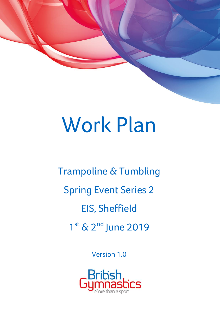# Work Plan

Trampoline & Tumbling Spring Event Series 2 EIS, Sheffield 1st & 2<sup>nd</sup> June 2019

Version 1.0

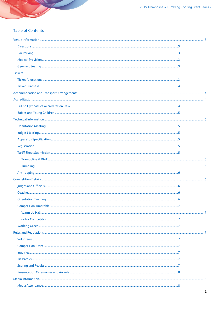2019 Trampoline & Tumbling - Spring Event Series 2

# **Table of Contents**

| ${\bf Volumeers}\xspace$ |  |
|--------------------------|--|
|                          |  |
|                          |  |
|                          |  |
|                          |  |
|                          |  |
|                          |  |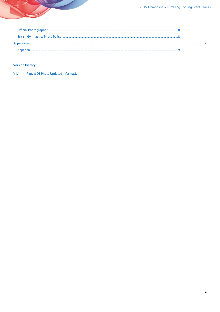# **Version History**

V1.1 - Page 8 DE Photo Updated information

 $\overline{\phantom{a}}$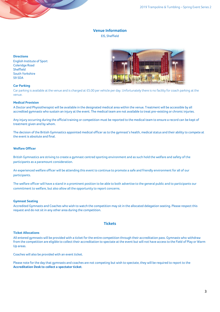# **Venue Information**

# EIS, Sheffield

## <span id="page-3-1"></span><span id="page-3-0"></span>**Directions**

English Institute of Sport Coleridge Road Sheffield South Yorkshire S9 5DA



#### <span id="page-3-2"></span>**Car Parking**

Car parking is available at the venue and is charged at £5.00 per vehicle per day. Unfortunately there is no facility for coach parking at the venue.

### <span id="page-3-3"></span>**Medical Provision**

A Doctor and Physiotherapist will be available in the designated medical area within the venue. Treatment will be accessible by all accredited gymnasts who sustain an injury at the event. The medical team are not available to treat pre-existing or chronic injuries.

Any injury occurring during the official training or competition must be reported to the medical team to ensure a record can be kept of treatment given and by whom.

The decision of the British Gymnastics appointed medical officer as to the gymnast's health, medical status and their ability to compete at the event is absolute and final.

# **Welfare Officer**

British Gymnastics are striving to create a gymnast centred sporting environment and as such hold the welfare and safety of the participants as a paramount consideration.

An experienced welfare officer will be attending this event to continue to promote a safe and friendly environment for all of our participants.

The welfare officer will have a stand in a prominent position to be able to both advertise to the general public and to participants our commitment to welfare, but also allow all the opportunity to report concerns.

# <span id="page-3-4"></span>**Gymnast Seating**

<span id="page-3-5"></span>Accredited Gymnasts and Coaches who wish to watch the competition may sit in the allocated delegation seating. Please respect this request and do not sit in any other area during the competition.

## **Tickets**

## <span id="page-3-6"></span>**Ticket Allocations**

All entered gymnasts will be provided with a ticket for the entire competition through their accreditation pass. Gymnasts who withdraw from the competition are eligible to collect their accreditation to spectate at the event but will not have access to the Field of Play or Warm Up areas.

Coaches will also be provided with an event ticket.

Please note for the day that gymnasts and coaches are not competing but wish to spectate, they will be required to report to the **Accreditation Desk to collect a spectator ticket**.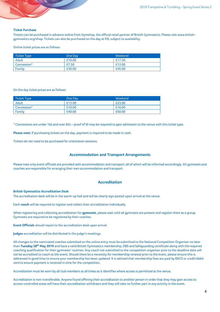#### <span id="page-4-0"></span>**Ticket Purchase**

Tickets can be purchased in advance online from Gymshop, the official retail partner of British Gymnastics. Please visit www.britishgymnastics.org/shop. Tickets can also be purchased on the day at EIS, subject to availability.

Online ticket prices are as follows:

| <b>Ticket Type</b> | One Day | Weekend |
|--------------------|---------|---------|
| Adult              | £10.00  | £17.50  |
| Concession*        | £7.50   | £12.00  |
| Family             | £30.00  | £45.00  |

#### On the day ticket prices are as follows:

| Ticket Type | One Day | Weekend |
|-------------|---------|---------|
| Adult       | £13.00  | £23.00  |
| Concession* | £10.00  | £16.00  |
| Family      | £40.00  | £60.00  |

\* Concessions are under 16s and over 65s – proof of ID may be required to gain admission to the venue with this ticket type.

**Please note:** If purchasing tickets on the day, payment is required to be made in cash.

<span id="page-4-1"></span>Tickets do not need to be purchased for orientation sessions.

## **Accommodation and Transport Arrangements**

<span id="page-4-2"></span>Please note only event officials are provided with accommodation and transport; all of which will be informed accordingly. All gymnasts and coaches are responsible for arranging their own accommodation and transport.

# **Accreditation**

#### <span id="page-4-3"></span>**British Gymnastics Accreditation Desk**

The accreditation desk will be in the warm-up hall and will be clearly sign posted upon arrival at the venue.

Each **coach** will be required to register and collect their accreditation individually.

When registering and collecting accreditation for **gymnasts**, please wait until all gymnasts are present and register them as a group. Gymnasts are required to be registered by their coaches.

**Event Officials** should report to the accreditation desk upon arrival.

**Judges** accreditation will be distributed in the judge's meetings.

All changes to the nominated coaches submitted on the online entry must be submitted to the National Competition Organiser no later than **Tuesday 28 th May 2019** and have a valid British Gymnastics membership, DBS and Safeguarding certificate along with the required coaching qualification for their gymnasts' routines. Any coach not submitted to the competition organiser prior to the deadline date will not be accredited to coach at the event. Should there be a necessity for membership renewal prior to the event, please ensure this is addressed in good time to ensure your membership has been updated. It is advised that membership fees are paid by BACS or credit/debit card to ensure payment is received in time for the competition.

Accreditation must be worn by all club members at all times as it identifies where access is permitted at the venue.

Accreditation is non-transferable. Anyone found offering their accreditation to another person in order that they may gain access to access-controlled areas will have their accreditation withdrawn and they will take no further part in any activity in the event.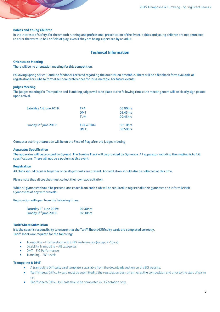## <span id="page-5-0"></span>**Babies and Young Children**

<span id="page-5-1"></span>In the interests of safety, for the smooth running and professional presentation of the Event, babies and young children are not permitted to enter the warm up hall or field of play, even if they are being supervised by an adult.

# **Technical Information**

#### <span id="page-5-2"></span>**Orientation Meeting**

There will be no orientation meeting for this competition.

Following Spring Series 1 and the feedback received regarding the orientation timetable. There will be a feedback form available at registration for clubs to formalise there preferences for this timetable, for future events.

## <span id="page-5-3"></span>**Judges Meeting**

The judges meeting for Trampoline and Tumbling judges will take place at the following times; the meeting room will be clearly sign posted upon arrival.

| 08:00hrs                                     |
|----------------------------------------------|
| 08:45hrs                                     |
| 09:45hrs                                     |
| 08:10hrs<br><b>TRA &amp; TUM</b><br>08:50hrs |
| DMT:                                         |

<span id="page-5-4"></span>Computer scoring instruction will be on the Field of Play after the judges meeting.

#### **Apparatus Specification**

The apparatus will be provided by Gymaid. The Tumble Track will be provided by Gymnova. All apparatus including the matting is to FIG specifications. There will not be a podium at this event.

#### <span id="page-5-5"></span>**Registration**

All clubs should register together once all gymnasts are present. Accreditation should also be collected at this time.

Please note that all coaches must collect their own accreditation.

While all gymnasts should be present, one coach from each club will be required to register all their gymnasts and inform British Gymnastics of any withdrawals.

Registration will open from the following times:

| Saturday 1 <sup>st</sup> June 2019: | 07:30hrs |
|-------------------------------------|----------|
| Sunday 2 <sup>nd</sup> June 2019:   | 07:30hrs |

# <span id="page-5-6"></span>**Tariff Sheet Submission**

It is the coach's responsibility to ensure that the Tariff Sheets/Difficulty cards are completed correctly. Tariff sheets are required for the following:

- Trampoline FIG Development & FIG Performance (except 9-10yrs)
- Disability Trampoline All categories
- DMT FIG Performance
- Tumbling FIG Levels

## <span id="page-5-7"></span>**Trampoline & DMT**

- A trampoline Difficulty card template is available from the downloads section on the BG website.
- Tariff sheets/Difficulty card must be submitted to the registration desk on arrival at the competition and prior to the start of warm up.
- Tariff sheets/Difficulty Cards should be completed in FIG notation only.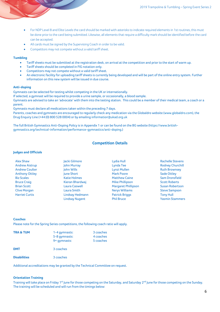- For NDP Level 8 and Elite Levels the card should be marked with asterisks to indicate required elements in 1st routines, this must be done prior to the card being submitted. Likewise, all elements that require a difficulty mark should be identified before the card can be accepted.
- All cards must be signed by the Supervising Coach in order to be valid.
- Competitors may not compete without a valid tariff sheet.

# <span id="page-6-0"></span>**Tumbling**

- Tariff sheets must be submitted at the registration desk, on arrival at the competition and prior to the start of warm up.
- Tariff sheets should be completed in FIG notation only.
- Competitors may not compete without a valid tariff sheet.
- An electronic facility for uploading tariff sheets is currently being developed and will be part of the online entry system. Further information on this new system will be issued in due course.

# <span id="page-6-1"></span>**Anti-doping**

<span id="page-6-2"></span>Gymnasts can be selected for testing whilst competing in the UK or internationally.

If selected, a gymnast will be required to provide a urine sample, or occasionally, a blood sample.

Gymnasts are advised to take an 'advocate' with them into the testing station. This could be a member of their medical team, a coach or a parent.

Gymnasts must declare all medications taken within the preceding 7 days.

Parents, coaches and gymnasts are encouraged to regularly check any medication via the Globaldro website [\(www.globaldro.com\)](http://www.globaldro.com/), the Drug Enquiry Line (+44 (0) 800 528 0004) or by emailin[g information@ukad.org.uk](mailto:information@ukad.org.uk)

The full British Gymnastics Anti-Doping Policy is in Appendix 1 or can be found on the BG website [\(https://www.british](https://www.british-gymnastics.org/technical-information/performance-gymnastics/anti-doping)[gymnastics.org/technical-information/performance-gymnastics/anti-doping.\)](https://www.british-gymnastics.org/technical-information/performance-gymnastics/anti-doping)

# **Competition Details**

# <span id="page-6-3"></span>**Judges and Officials**

| Alex Shaw             | Jacki Gilmore         | Lydia Hull                 | <b>Rachelle Stevens</b> |
|-----------------------|-----------------------|----------------------------|-------------------------|
| <b>Andrew Aistrup</b> | John Murray           | Lynda Tee                  | <b>Rodney Churchill</b> |
| <b>Andrew Coulter</b> | John Wills            | Lynzi Mullen               | <b>Ruth Brownsey</b>    |
| <b>Anthony Ottley</b> | June Short            | <b>Mark Poore</b>          | <b>Sade Ottley</b>      |
| <b>Biz Scales</b>     | <b>Katie Holmes</b>   | <b>Matthew Caine</b>       | Sam Dronsfield          |
| <b>Bruce Craig</b>    | Kieran Bhardwaj       | <b>Mike Phillipson</b>     | <b>Scott Roberts</b>    |
| <b>Brian Scott</b>    | Laura Caswell         | <b>Margaret Phillipson</b> | <b>Susan Robertson</b>  |
| <b>Clive Morgan</b>   | Laura Smith           | <b>Nerys Williams</b>      | <b>Steve Sampson</b>    |
| <b>Harriet Curtis</b> | Lindsay Hedmann       | <b>Patrick Briggs</b>      | <b>Tony Hull</b>        |
|                       | <b>Lindsay Nugent</b> | <b>Phil Bruce</b>          | <b>Yasmin Stammers</b>  |
|                       |                       |                            |                         |

#### <span id="page-6-4"></span>**Coaches**

Please note for the Spring Series competitions, the following coach ratio will apply.

| <b>TRA &amp; TUM</b> | 1-4 gymnasts:<br>5-8 gymnasts:<br>9+ gymnasts: | 3 coaches<br>4 coaches<br>5 coaches |
|----------------------|------------------------------------------------|-------------------------------------|
| <b>DMT</b>           | 3 coaches                                      |                                     |
| <b>Disabilities</b>  | 3 coaches                                      |                                     |

Additional accreditations may be granted by the Technical Committee on request.

# <span id="page-6-5"></span>**Orientation Training**

Training will take place on Friday 1<sup>st</sup> June for those competing on the Saturday, and Saturday 2<sup>nd</sup> June for those competing on the Sunday. The training will be scheduled and will run from the timings below: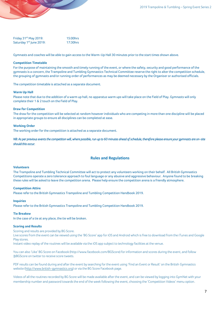| Friday 31 <sup>st</sup> May 2019:   | 15:00hrs |
|-------------------------------------|----------|
| Saturday 1 <sup>st</sup> June 2019: | 17:30hrs |

<span id="page-7-0"></span>Gymnasts and coaches will be able to gain access to the Warm-Up Hall 30 minutes prior to the start times shown above.

# **Competition Timetable**

For the purpose of maintaining the smooth and timely running of the event, or where the safety, security and good performance of the gymnasts is a concern, the Trampoline and Tumbling Gymnastics Technical Committee reserve the right to alter the competition schedule, the grouping of gymnasts and/or running order of performances as may be deemed necessary by the Organiser or authorised officials.

<span id="page-7-1"></span>The competition timetable is attached as a separate document.

## **Warm Up Hall**

Please note that due to the addition of a warm up hall, no apparatus warm ups will take place on the Field of Play. Gymnasts will only complete their 1 & 2 touch on the Field of Play.

#### <span id="page-7-2"></span>**Draw for Competition**

The draw for the competition will be selected at random however individuals who are competing in more than one discipline will be placed in appropriate groups to ensure all disciplines can be completed at ease.

## <span id="page-7-3"></span>**Working Order**

The working order for the competition is attached as a separate document.

<span id="page-7-4"></span>*NB: As per previous events the competition will, where possible, run up to 60 minutes ahead of schedule, therefore please ensure your gymnasts are on-site should this occur.* 

# **Rules and Regulations**

#### <span id="page-7-5"></span>**Volunteers**

The Trampoline and Tumbling Technical Committee will act to protect any volunteers working on their behalf. All British Gymnastics Competitions operate a zero tolerance approach to foul language or any abusive and aggressive behaviour. Anyone found to be breaking these rules will be asked to leave the competition arena. Please help ensure the competition arena is a friendly atmosphere.

# <span id="page-7-6"></span>**Competition Attire**

<span id="page-7-7"></span>Please refer to the British Gymnastics Trampoline and Tumbling Competition Handbook 2019.

#### **Inquiries**

<span id="page-7-8"></span>Please refer to the British Gymnastics Trampoline and Tumbling Competition Handbook 2019.

# **Tie Breaksw**

<span id="page-7-9"></span>In the case of a tie at any place, the tie will be broken.

#### **Scoring and Results**

Scoring and results are provided by BG Score.

Live scores from the event can be viewed using the 'BG Score' app for iOS and Android which is free to download from the iTunes and Google Play stores.

Instant video replay of the routines will be available via the iOS app subject to technology facilities at the venue.

You can also 'Like' BG Score on Facebook (http://www.facebook.com/BGScore) for information and scores during the event, and follow a BGScore on twitter to receive score tweets.

PDF results can be found during and after the event by searching for the event using 'Find an Event or Result' on the British Gymnastics website [\(http://www.british-gymnastics.org\)](http://www.british-gymnastics.org/) or via the BG Score Facebook page.

Videos of all the routines recorded by BG Score will be made available after the event, and can be viewed by logging into GymNet with your membership number and password towards the end of the week following the event, choosing the 'Competition Videos' menu option.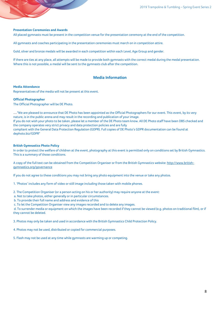# <span id="page-8-0"></span>**Presentation Ceremonies and Awards**

All placed gymnasts must be present in the competition venue for the presentation ceremony at the end of the competition.

All gymnasts and coaches participating in the presentation ceremonies must march on in competition attire.

Gold, silver and bronze medals will be awarded in each competition within each Level, Age Group and gender.

<span id="page-8-1"></span>If there are ties at any place, all attempts will be made to provide both gymnasts with the correct medal during the medal presentation. Where this is not possible, a medal will be sent to the gymnasts club after the competition.

# **Media Information**

#### <span id="page-8-2"></span>**Media Attendance**

<span id="page-8-3"></span>Representatives of the media will not be present at this event.

#### **Official Photographer**

The Official Photographer will be DE Photo.

*…"*We are pleased to announce that DE Photo has been appointed as the Official Photographers for our event. This event, by its very nature, is in the public arena and may result in the recording and publication of your image. If you do not wish your photo to be taken, please let a member of the DE Photo team know. All DE Photo staff have been DBS checked and the company operates very strict privacy and data protection policies and are fully

compliant with the General Data Protection Regulation (GDPR). Full copies of DE Photo's GDPR documentation can be found at [dephoto.biz/GDPR"](http://dephoto.biz/GDPR)

# <span id="page-8-4"></span>**British Gymnastics Photo Policy**

In order to protect the welfare of children at the event, photography at this event is permitted only on conditions set by British Gymnastics. This is a summary of those conditions.

A copy of the full text can be obtained from the Competition Organiser or from the British Gymnastics website: [http://www.british](http://www.british-gymnastics.org/governance)[gymnastics.org/governance](http://www.british-gymnastics.org/governance)

If you do not agree to these conditions you may not bring any photo equipment into the venue or take any photos.

1. 'Photos' includes any form of video or still image including those taken with mobile phones.

2. The Competition Organiser (or a person acting on his or her authority) may require anyone at the event:

a. Not to take photos, either generally or in particular circumstances.

b. To provide their full name and address and evidence of this

c. To let the Competition Organiser view any images recorded and to delete any images.

d. To surrender media or equipment on which the images have been recorded if they cannot be viewed (e.g. photos on traditional film), or if they cannot be deleted.

3. Photos may only be taken and used in accordance with the British Gymnastics Child Protection Policy.

4. Photos may not be used, distributed or copied for commercial purposes.

5. Flash may not be used at any time while gymnasts are warming up or competing.